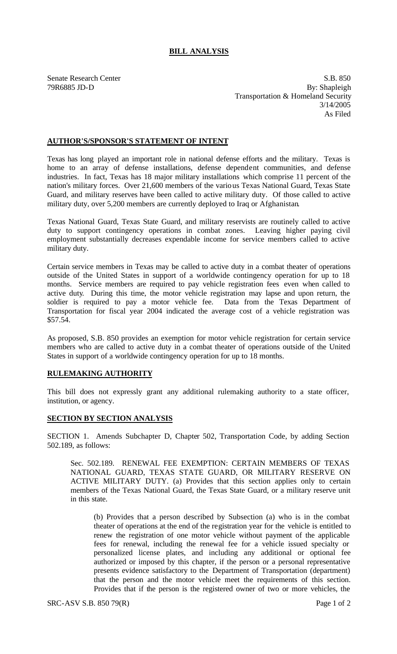## **BILL ANALYSIS**

Senate Research Center S.B. 850 79R6885 JD-D By: Shapleigh Transportation & Homeland Security 3/14/2005 As Filed

## **AUTHOR'S/SPONSOR'S STATEMENT OF INTENT**

Texas has long played an important role in national defense efforts and the military. Texas is home to an array of defense installations, defense dependent communities, and defense industries. In fact, Texas has 18 major military installations which comprise 11 percent of the nation's military forces. Over 21,600 members of the various Texas National Guard, Texas State Guard, and military reserves have been called to active military duty. Of those called to active military duty, over 5,200 members are currently deployed to Iraq or Afghanistan.

Texas National Guard, Texas State Guard, and military reservists are routinely called to active duty to support contingency operations in combat zones. Leaving higher paying civil employment substantially decreases expendable income for service members called to active military duty.

Certain service members in Texas may be called to active duty in a combat theater of operations outside of the United States in support of a worldwide contingency operation for up to 18 months. Service members are required to pay vehicle registration fees even when called to active duty. During this time, the motor vehicle registration may lapse and upon return, the soldier is required to pay a motor vehicle fee. Data from the Texas Department of Transportation for fiscal year 2004 indicated the average cost of a vehicle registration was \$57.54.

As proposed, S.B. 850 provides an exemption for motor vehicle registration for certain service members who are called to active duty in a combat theater of operations outside of the United States in support of a worldwide contingency operation for up to 18 months.

## **RULEMAKING AUTHORITY**

This bill does not expressly grant any additional rulemaking authority to a state officer, institution, or agency.

## **SECTION BY SECTION ANALYSIS**

SECTION 1. Amends Subchapter D, Chapter 502, Transportation Code, by adding Section 502.189, as follows:

Sec. 502.189. RENEWAL FEE EXEMPTION: CERTAIN MEMBERS OF TEXAS NATIONAL GUARD, TEXAS STATE GUARD, OR MILITARY RESERVE ON ACTIVE MILITARY DUTY. (a) Provides that this section applies only to certain members of the Texas National Guard, the Texas State Guard, or a military reserve unit in this state.

(b) Provides that a person described by Subsection (a) who is in the combat theater of operations at the end of the registration year for the vehicle is entitled to renew the registration of one motor vehicle without payment of the applicable fees for renewal, including the renewal fee for a vehicle issued specialty or personalized license plates, and including any additional or optional fee authorized or imposed by this chapter, if the person or a personal representative presents evidence satisfactory to the Department of Transportation (department) that the person and the motor vehicle meet the requirements of this section. Provides that if the person is the registered owner of two or more vehicles, the